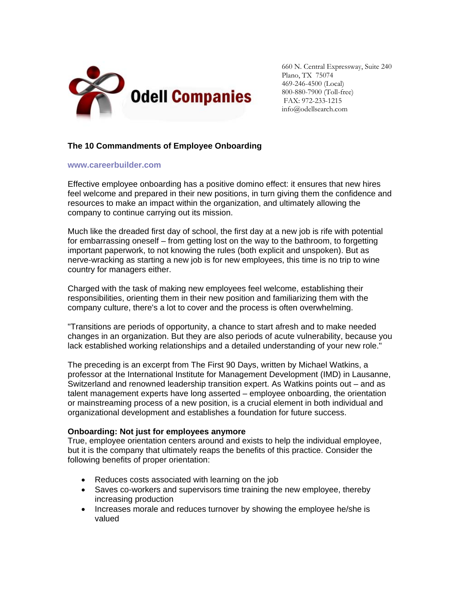

660 N. Central Expressway, Suite 240 Plano, TX 75074 469-246-4500 (Local) 800-880-7900 (Toll-free) FAX: 972-233-1215 info@odellsearch.com

## **The 10 Commandments of Employee Onboarding**

## **[www.careerbuilder.com](http://www.careerbuilder.com/jobposter/small-business/article.aspx?articleid=ATL_0192ONBOARDINGTIPS_s)**

Effective employee onboarding has a positive domino effect: it ensures that new hires feel welcome and prepared in their new positions, in turn giving them the confidence and resources to make an impact within the organization, and ultimately allowing the company to continue carrying out its mission.

Much like the dreaded first day of school, the first day at a new job is rife with potential for embarrassing oneself – from getting lost on the way to the bathroom, to forgetting important paperwork, to not knowing the rules (both explicit and unspoken). But as nerve-wracking as starting a new job is for new employees, this time is no trip to wine country for managers either.

Charged with the task of making new employees feel welcome, establishing their responsibilities, orienting them in their new position and familiarizing them with the company culture, there's a lot to cover and the process is often overwhelming.

"Transitions are periods of opportunity, a chance to start afresh and to make needed changes in an organization. But they are also periods of acute vulnerability, because you lack established working relationships and a detailed understanding of your new role."

The preceding is an excerpt from The First 90 Days, written by Michael Watkins, a professor at the International Institute for Management Development (IMD) in Lausanne, Switzerland and renowned leadership transition expert. As Watkins points out – and as talent management experts have long asserted – employee onboarding, the orientation or mainstreaming process of a new position, is a crucial element in both individual and organizational development and establishes a foundation for future success.

## **Onboarding: Not just for employees anymore**

True, employee orientation centers around and exists to help the individual employee, but it is the company that ultimately reaps the benefits of this practice. Consider the following benefits of proper orientation:

- Reduces costs associated with learning on the job
- Saves co-workers and supervisors time training the new employee, thereby increasing production
- Increases morale and reduces turnover by showing the employee he/she is valued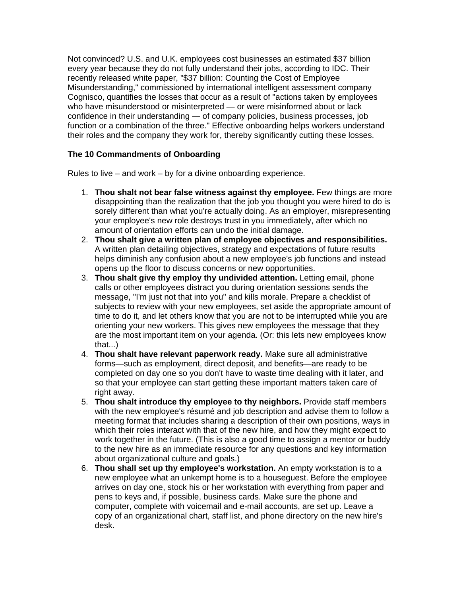Not convinced? U.S. and U.K. employees cost businesses an estimated \$37 billion every year because they do not fully understand their jobs, according to IDC. Their recently released white paper, "\$37 billion: Counting the Cost of Employee Misunderstanding," commissioned by international intelligent assessment company Cognisco, quantifies the losses that occur as a result of "actions taken by employees who have misunderstood or misinterpreted — or were misinformed about or lack confidence in their understanding — of company policies, business processes, job function or a combination of the three." Effective onboarding helps workers understand their roles and the company they work for, thereby significantly cutting these losses.

## **The 10 Commandments of Onboarding**

Rules to live – and work – by for a divine onboarding experience.

- 1. **Thou shalt not bear false witness against thy employee.** Few things are more disappointing than the realization that the job you thought you were hired to do is sorely different than what you're actually doing. As an employer, misrepresenting your employee's new role destroys trust in you immediately, after which no amount of orientation efforts can undo the initial damage.
- 2. **Thou shalt give a written plan of employee objectives and responsibilities.** A written plan detailing objectives, strategy and expectations of future results helps diminish any confusion about a new employee's job functions and instead opens up the floor to discuss concerns or new opportunities.
- 3. **Thou shalt give thy employ thy undivided attention.** Letting email, phone calls or other employees distract you during orientation sessions sends the message, "I'm just not that into you" and kills morale. Prepare a checklist of subjects to review with your new employees, set aside the appropriate amount of time to do it, and let others know that you are not to be interrupted while you are orienting your new workers. This gives new employees the message that they are the most important item on your agenda. (Or: this lets new employees know that...)
- 4. **Thou shalt have relevant paperwork ready.** Make sure all administrative forms—such as employment, direct deposit, and benefits—are ready to be completed on day one so you don't have to waste time dealing with it later, and so that your employee can start getting these important matters taken care of right away.
- 5. **Thou shalt introduce thy employee to thy neighbors.** Provide staff members with the new employee's résumé and job description and advise them to follow a meeting format that includes sharing a description of their own positions, ways in which their roles interact with that of the new hire, and how they might expect to work together in the future. (This is also a good time to assign a mentor or buddy to the new hire as an immediate resource for any questions and key information about organizational culture and goals.)
- 6. **Thou shall set up thy employee's workstation.** An empty workstation is to a new employee what an unkempt home is to a houseguest. Before the employee arrives on day one, stock his or her workstation with everything from paper and pens to keys and, if possible, business cards. Make sure the phone and computer, complete with voicemail and e-mail accounts, are set up. Leave a copy of an organizational chart, staff list, and phone directory on the new hire's desk.